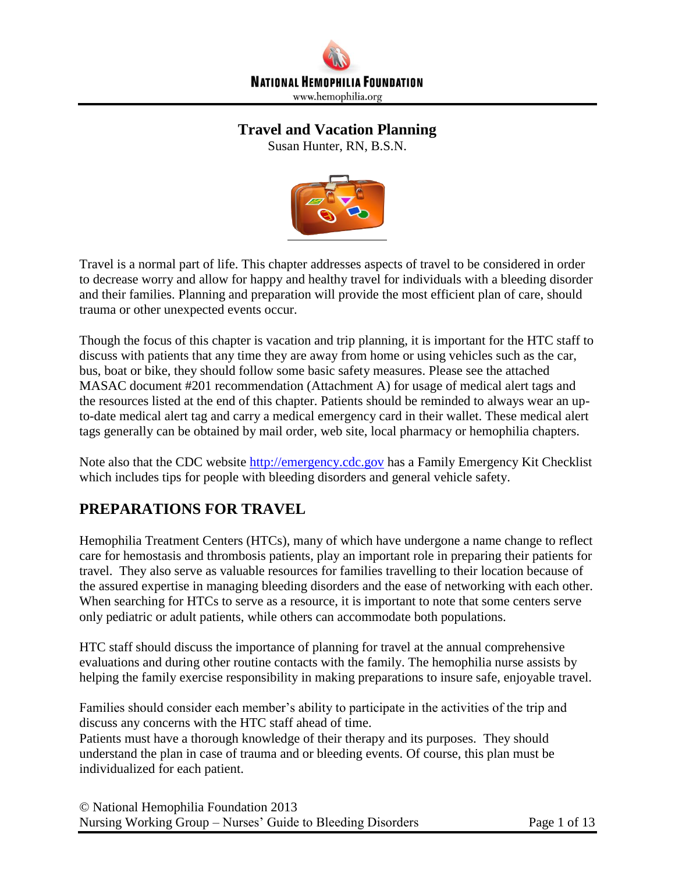

# **Travel and Vacation Planning**

Susan Hunter, RN, B.S.N.



Travel is a normal part of life. This chapter addresses aspects of travel to be considered in order to decrease worry and allow for happy and healthy travel for individuals with a bleeding disorder and their families. Planning and preparation will provide the most efficient plan of care, should trauma or other unexpected events occur.

Though the focus of this chapter is vacation and trip planning, it is important for the HTC staff to discuss with patients that any time they are away from home or using vehicles such as the car, bus, boat or bike, they should follow some basic safety measures. Please see the attached MASAC document #201 recommendation (Attachment A) for usage of medical alert tags and the resources listed at the end of this chapter. Patients should be reminded to always wear an upto-date medical alert tag and carry a medical emergency card in their wallet. These medical alert tags generally can be obtained by mail order, web site, local pharmacy or hemophilia chapters.

Note also that the CDC website [http://emergency.cdc.gov](http://emergency.cdc.gov/) has a Family Emergency Kit Checklist which includes tips for people with bleeding disorders and general vehicle safety.

# **PREPARATIONS FOR TRAVEL**

Hemophilia Treatment Centers (HTCs), many of which have undergone a name change to reflect care for hemostasis and thrombosis patients, play an important role in preparing their patients for travel. They also serve as valuable resources for families travelling to their location because of the assured expertise in managing bleeding disorders and the ease of networking with each other. When searching for HTCs to serve as a resource, it is important to note that some centers serve only pediatric or adult patients, while others can accommodate both populations.

HTC staff should discuss the importance of planning for travel at the annual comprehensive evaluations and during other routine contacts with the family. The hemophilia nurse assists by helping the family exercise responsibility in making preparations to insure safe, enjoyable travel.

Families should consider each member's ability to participate in the activities of the trip and discuss any concerns with the HTC staff ahead of time.

Patients must have a thorough knowledge of their therapy and its purposes. They should understand the plan in case of trauma and or bleeding events. Of course, this plan must be individualized for each patient.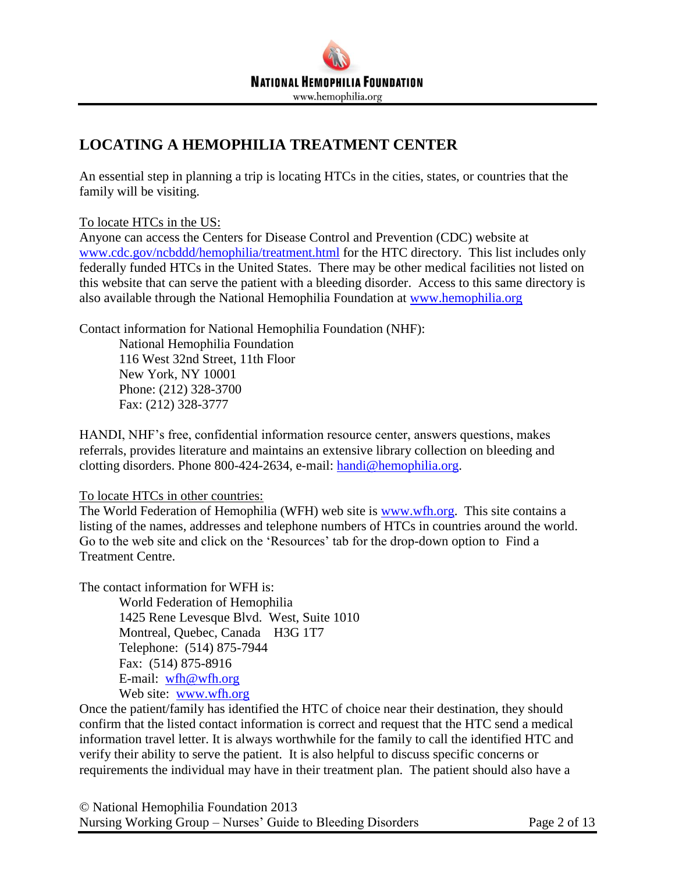# **LOCATING A HEMOPHILIA TREATMENT CENTER**

An essential step in planning a trip is locating HTCs in the cities, states, or countries that the family will be visiting.

To locate HTCs in the US:

Anyone can access the Centers for Disease Control and Prevention (CDC) website at [www.cdc.gov/ncbddd/hemophilia/treatment.html](http://www.cdc.gov/ncbddd/hemophilia/treatment.html) for the HTC directory. This list includes only federally funded HTCs in the United States. There may be other medical facilities not listed on this website that can serve the patient with a bleeding disorder. Access to this same directory is also available through the National Hemophilia Foundation at [www.hemophilia.org](http://www.hemophilia.org/)

Contact information for National Hemophilia Foundation (NHF):

National Hemophilia Foundation 116 West 32nd Street, 11th Floor New York, NY 10001 Phone: (212) 328-3700 Fax: (212) 328-3777

HANDI, NHF's free, confidential information resource center, answers questions, makes referrals, provides literature and maintains an extensive library collection on bleeding and clotting disorders. Phone 800-424-2634, e-mail: [handi@hemophilia.org.](mailto:handi@hemophilia.org)

To locate HTCs in other countries:

The World Federation of Hemophilia (WFH) web site is [www.wfh.org.](http://www.wfh.org/) This site contains a listing of the names, addresses and telephone numbers of HTCs in countries around the world. Go to the web site and click on the 'Resources' tab for the drop-down option to Find a Treatment Centre.

The contact information for WFH is:

World Federation of Hemophilia 1425 Rene Levesque Blvd. West, Suite 1010 Montreal, Quebec, Canada H3G 1T7 Telephone: (514) 875-7944 Fax: (514) 875-8916 E-mail: [wfh@wfh.org](mailto:wfh@wfh.org) Web site: [www.wfh.org](http://www.wfh.org/)

Once the patient/family has identified the HTC of choice near their destination, they should confirm that the listed contact information is correct and request that the HTC send a medical information travel letter. It is always worthwhile for the family to call the identified HTC and verify their ability to serve the patient. It is also helpful to discuss specific concerns or requirements the individual may have in their treatment plan. The patient should also have a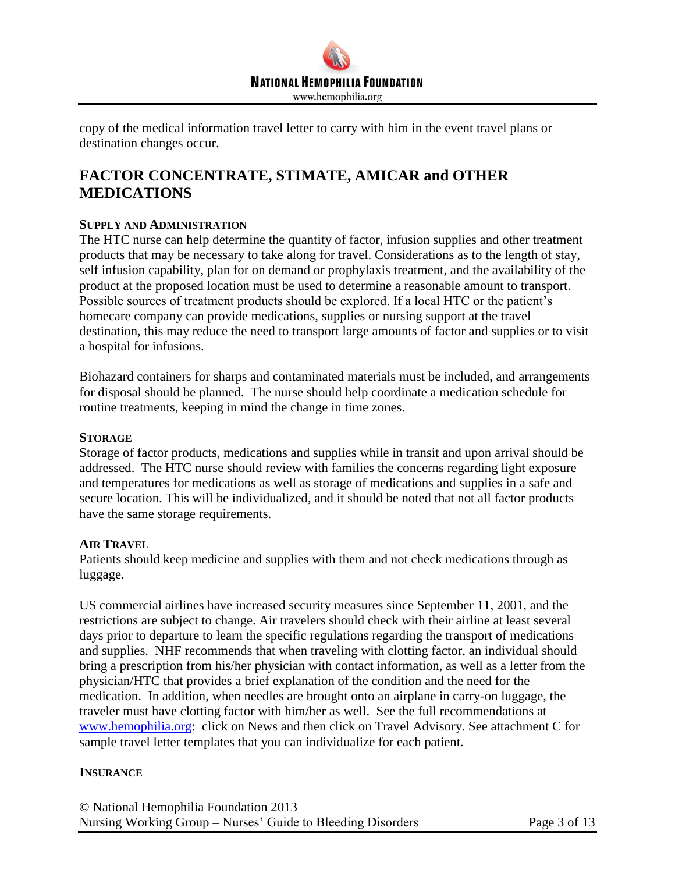

copy of the medical information travel letter to carry with him in the event travel plans or destination changes occur.

# **FACTOR CONCENTRATE, STIMATE, AMICAR and OTHER MEDICATIONS**

#### **SUPPLY AND ADMINISTRATION**

The HTC nurse can help determine the quantity of factor, infusion supplies and other treatment products that may be necessary to take along for travel. Considerations as to the length of stay, self infusion capability, plan for on demand or prophylaxis treatment, and the availability of the product at the proposed location must be used to determine a reasonable amount to transport. Possible sources of treatment products should be explored. If a local HTC or the patient's homecare company can provide medications, supplies or nursing support at the travel destination, this may reduce the need to transport large amounts of factor and supplies or to visit a hospital for infusions.

Biohazard containers for sharps and contaminated materials must be included, and arrangements for disposal should be planned. The nurse should help coordinate a medication schedule for routine treatments, keeping in mind the change in time zones.

#### **STORAGE**

Storage of factor products, medications and supplies while in transit and upon arrival should be addressed. The HTC nurse should review with families the concerns regarding light exposure and temperatures for medications as well as storage of medications and supplies in a safe and secure location. This will be individualized, and it should be noted that not all factor products have the same storage requirements.

#### **AIR TRAVEL**

Patients should keep medicine and supplies with them and not check medications through as luggage.

US commercial airlines have increased security measures since September 11, 2001, and the restrictions are subject to change. Air travelers should check with their airline at least several days prior to departure to learn the specific regulations regarding the transport of medications and supplies. NHF recommends that when traveling with clotting factor, an individual should bring a prescription from his/her physician with contact information, as well as a letter from the physician/HTC that provides a brief explanation of the condition and the need for the medication. In addition, when needles are brought onto an airplane in carry-on luggage, the traveler must have clotting factor with him/her as well. See the full recommendations at [www.hemophilia.org:](http://www.hemophilia.org/) click on News and then click on Travel Advisory. See attachment C for sample travel letter templates that you can individualize for each patient.

#### **INSURANCE**

© National Hemophilia Foundation 2013 Nursing Working Group – Nurses' Guide to Bleeding Disorders Page 3 of 13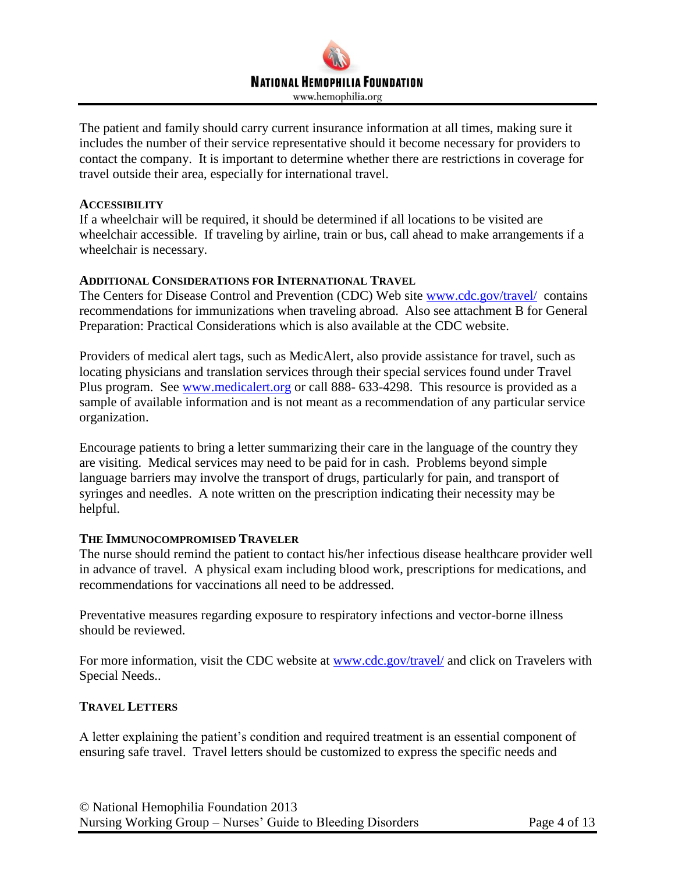

The patient and family should carry current insurance information at all times, making sure it includes the number of their service representative should it become necessary for providers to contact the company. It is important to determine whether there are restrictions in coverage for travel outside their area, especially for international travel.

#### **ACCESSIBILITY**

If a wheelchair will be required, it should be determined if all locations to be visited are wheelchair accessible. If traveling by airline, train or bus, call ahead to make arrangements if a wheelchair is necessary.

#### **ADDITIONAL CONSIDERATIONS FOR INTERNATIONAL TRAVEL**

The Centers for Disease Control and Prevention (CDC) Web site [www.cdc.gov/travel/](http://www.cdc.gov/travel/) contains recommendations for immunizations when traveling abroad. Also see attachment B for General Preparation: Practical Considerations which is also available at the CDC website.

Providers of medical alert tags, such as MedicAlert, also provide assistance for travel, such as locating physicians and translation services through their special services found under Travel Plus program. See [www.medicalert.org](http://www.medicalert.org/) or call 888- 633-4298. This resource is provided as a sample of available information and is not meant as a recommendation of any particular service organization.

Encourage patients to bring a letter summarizing their care in the language of the country they are visiting. Medical services may need to be paid for in cash. Problems beyond simple language barriers may involve the transport of drugs, particularly for pain, and transport of syringes and needles. A note written on the prescription indicating their necessity may be helpful.

#### **THE IMMUNOCOMPROMISED TRAVELER**

The nurse should remind the patient to contact his/her infectious disease healthcare provider well in advance of travel. A physical exam including blood work, prescriptions for medications, and recommendations for vaccinations all need to be addressed.

Preventative measures regarding exposure to respiratory infections and vector-borne illness should be reviewed.

For more information, visit the CDC website at [www.cdc.gov/travel/](http://www.cdc.gov/travel/) and click on Travelers with Special Needs..

#### **TRAVEL LETTERS**

A letter explaining the patient's condition and required treatment is an essential component of ensuring safe travel. Travel letters should be customized to express the specific needs and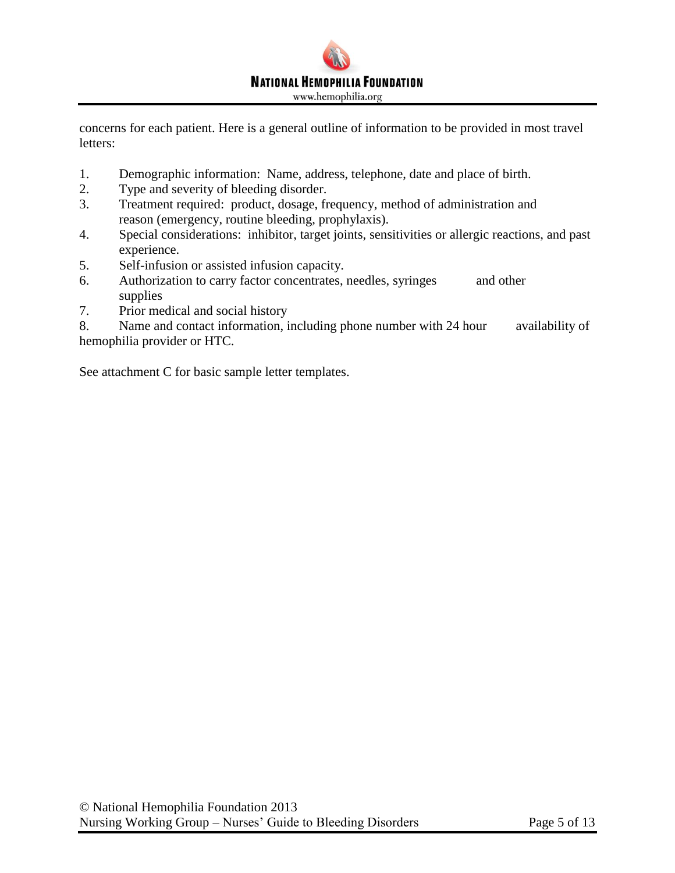

concerns for each patient. Here is a general outline of information to be provided in most travel letters:

- 1. Demographic information: Name, address, telephone, date and place of birth.
- 2. Type and severity of bleeding disorder.
- 3. Treatment required: product, dosage, frequency, method of administration and reason (emergency, routine bleeding, prophylaxis).
- 4. Special considerations: inhibitor, target joints, sensitivities or allergic reactions, and past experience.
- 5. Self-infusion or assisted infusion capacity.
- 6. Authorization to carry factor concentrates, needles, syringes and other supplies
- 7. Prior medical and social history

8. Name and contact information, including phone number with 24 hour availability of hemophilia provider or HTC.

See attachment C for basic sample letter templates.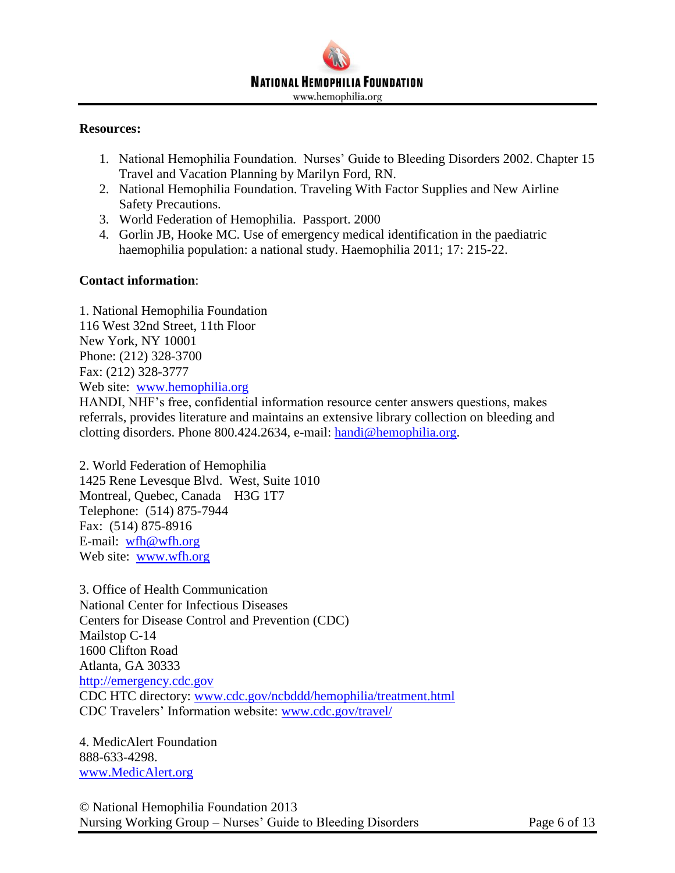# **NATIONAL HEMOPHILIA FOUNDATION** www.hemophilia.org

#### **Resources:**

- 1. National Hemophilia Foundation. Nurses' Guide to Bleeding Disorders 2002. Chapter 15 Travel and Vacation Planning by Marilyn Ford, RN.
- 2. National Hemophilia Foundation. Traveling With Factor Supplies and New Airline Safety Precautions.
- 3. World Federation of Hemophilia. Passport. 2000
- 4. Gorlin JB, Hooke MC. Use of emergency medical identification in the paediatric haemophilia population: a national study. Haemophilia 2011; 17: 215-22.

#### **Contact information**:

1. National Hemophilia Foundation 116 West 32nd Street, 11th Floor New York, NY 10001 Phone: (212) 328-3700 Fax: (212) 328-3777 Web site: [www.hemophilia.org](http://www.hemophilia.org/) HANDI, NHF's free, confidential information resource center answers questions, makes referrals, provides literature and maintains an extensive library collection on bleeding and clotting disorders. Phone 800.424.2634, e-mail: [handi@hemophilia.org.](mailto:handi@hemophilia.org)

2. World Federation of Hemophilia 1425 Rene Levesque Blvd. West, Suite 1010 Montreal, Quebec, Canada H3G 1T7 Telephone: (514) 875-7944 Fax: (514) 875-8916 E-mail: [wfh@wfh.org](mailto:wfh@wfh.org) Web site: [www.wfh.org](http://www.wfh.org/)

3. Office of Health Communication National Center for Infectious Diseases Centers for Disease Control and Prevention (CDC) Mailstop C-14 1600 Clifton Road Atlanta, GA 30333 [http://emergency.cdc.gov](http://emergency.cdc.gov/) CDC HTC directory: [www.cdc.gov/ncbddd/hemophilia/treatment.html](http://www.cdc.gov/ncbddd/hemophilia/treatment.html) CDC Travelers' Information website: [www.cdc.gov/travel/](http://www.cdc.gov/travel/)

4. MedicAlert Foundation 888-633-4298. [www.MedicAlert.org](http://www.medicalert.org/)

© National Hemophilia Foundation 2013 Nursing Working Group – Nurses' Guide to Bleeding Disorders Page 6 of 13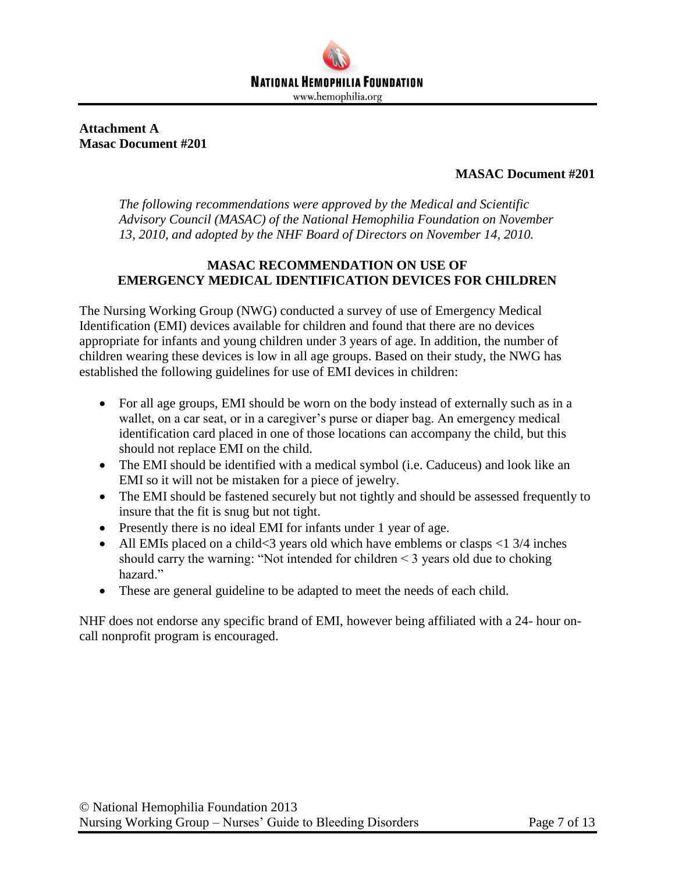

**Attachment A Masac Document #201**

# **MASAC Document #201**

*The following recommendations were approved by the Medical and Scientific Advisory Council (MASAC) of the National Hemophilia Foundation on November 13, 2010, and adopted by the NHF Board of Directors on November 14, 2010.*

# **MASAC RECOMMENDATION ON USE OF EMERGENCY MEDICAL IDENTIFICATION DEVICES FOR CHILDREN**

The Nursing Working Group (NWG) conducted a survey of use of Emergency Medical Identification (EMI) devices available for children and found that there are no devices appropriate for infants and young children under 3 years of age. In addition, the number of children wearing these devices is low in all age groups. Based on their study, the NWG has established the following guidelines for use of EMI devices in children:

- For all age groups, EMI should be worn on the body instead of externally such as in a wallet, on a car seat, or in a caregiver's purse or diaper bag. An emergency medical identification card placed in one of those locations can accompany the child, but this should not replace EMI on the child.
- The EMI should be identified with a medical symbol (i.e. Caduceus) and look like an EMI so it will not be mistaken for a piece of jewelry.
- The EMI should be fastened securely but not tightly and should be assessed frequently to insure that the fit is snug but not tight.
- Presently there is no ideal EMI for infants under 1 year of age.
- All EMIs placed on a child  $< 3$  years old which have emblems or clasps  $< 13/4$  inches should carry the warning: "Not intended for children < 3 years old due to choking hazard."
- These are general guideline to be adapted to meet the needs of each child.

NHF does not endorse any specific brand of EMI, however being affiliated with a 24- hour oncall nonprofit program is encouraged.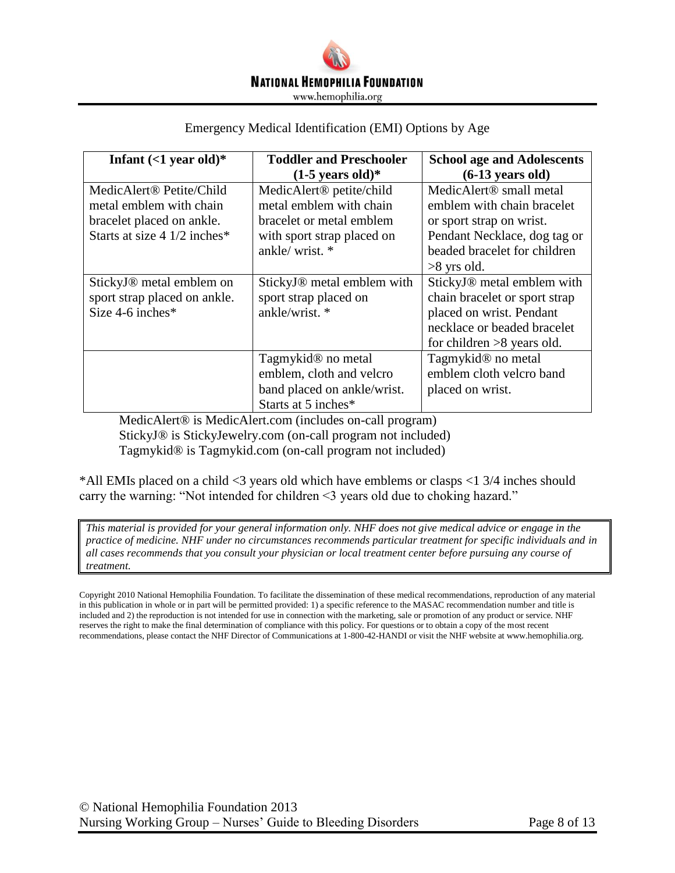

#### Emergency Medical Identification (EMI) Options by Age

| Infant $(<1$ year old)*              | <b>Toddler and Preschooler</b>         | <b>School age and Adolescents</b>   |
|--------------------------------------|----------------------------------------|-------------------------------------|
|                                      | $(1-5$ years old)*                     | $(6-13$ years old)                  |
| MedicAlert <sup>®</sup> Petite/Child | MedicAlert <sup>®</sup> petite/child   | MedicAlert <sup>®</sup> small metal |
| metal emblem with chain              | metal emblem with chain                | emblem with chain bracelet          |
| bracelet placed on ankle.            | bracelet or metal emblem               | or sport strap on wrist.            |
| Starts at size 4 $1/2$ inches*       | with sport strap placed on             | Pendant Necklace, dog tag or        |
|                                      | ankle/wrist. *                         | beaded bracelet for children        |
|                                      |                                        | $>8$ yrs old.                       |
| StickyJ <sup>®</sup> metal emblem on | StickyJ <sup>®</sup> metal emblem with | StickyJ® metal emblem with          |
| sport strap placed on ankle.         | sport strap placed on                  | chain bracelet or sport strap       |
| Size $4-6$ inches*                   | ankle/wrist. *                         | placed on wrist. Pendant            |
|                                      |                                        | necklace or beaded bracelet         |
|                                      |                                        | for children $>8$ years old.        |
|                                      | Tagmykid <sup>®</sup> no metal         | Tagmykid <sup>®</sup> no metal      |
|                                      | emblem, cloth and velcro               | emblem cloth velcro band            |
|                                      | band placed on ankle/wrist.            | placed on wrist.                    |
|                                      | Starts at 5 inches*                    |                                     |

MedicAlert® is MedicAlert.com (includes on-call program) StickyJ® is StickyJewelry.com (on-call program not included) Tagmykid® is Tagmykid.com (on-call program not included)

\*All EMIs placed on a child <3 years old which have emblems or clasps <1 3/4 inches should carry the warning: "Not intended for children <3 years old due to choking hazard."

*This material is provided for your general information only. NHF does not give medical advice or engage in the practice of medicine. NHF under no circumstances recommends particular treatment for specific individuals and in all cases recommends that you consult your physician or local treatment center before pursuing any course of treatment.*

Copyright 2010 National Hemophilia Foundation. To facilitate the dissemination of these medical recommendations, reproduction of any material in this publication in whole or in part will be permitted provided: 1) a specific reference to the MASAC recommendation number and title is included and 2) the reproduction is not intended for use in connection with the marketing, sale or promotion of any product or service. NHF reserves the right to make the final determination of compliance with this policy. For questions or to obtain a copy of the most recent recommendations, please contact the NHF Director of Communications at 1-800-42-HANDI or visit the NHF website at www.hemophilia.org.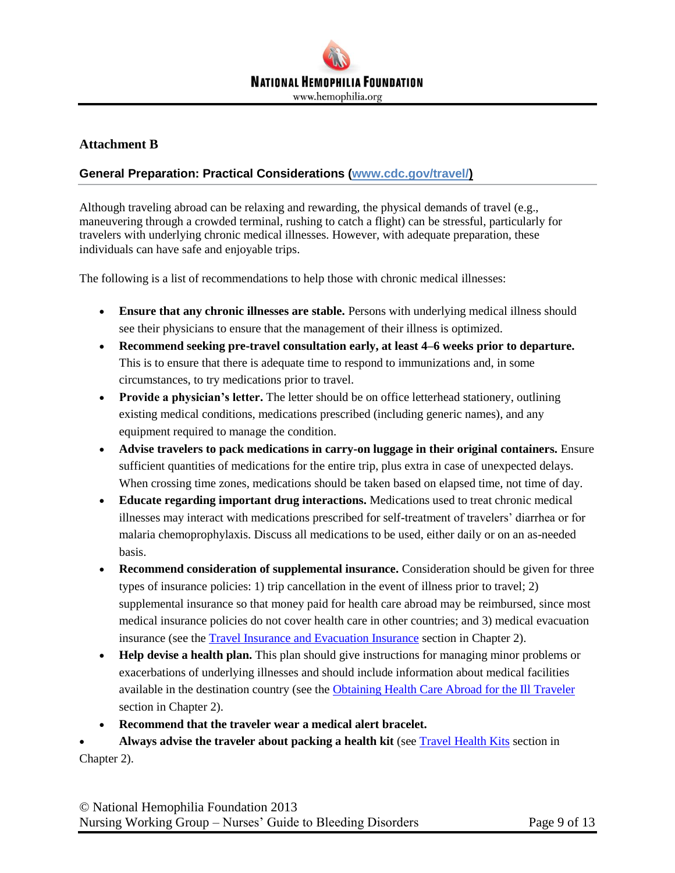

#### **Attachment B**

#### **General Preparation: Practical Considerations (www.cdc.gov/travel/)**

Although traveling abroad can be relaxing and rewarding, the physical demands of travel (e.g., maneuvering through a crowded terminal, rushing to catch a flight) can be stressful, particularly for travelers with underlying chronic medical illnesses. However, with adequate preparation, these individuals can have safe and enjoyable trips.

The following is a list of recommendations to help those with chronic medical illnesses:

- **Ensure that any chronic illnesses are stable.** Persons with underlying medical illness should see their physicians to ensure that the management of their illness is optimized.
- **Recommend seeking pre-travel consultation early, at least 4–6 weeks prior to departure.** This is to ensure that there is adequate time to respond to immunizations and, in some circumstances, to try medications prior to travel.
- Provide a physician's letter. The letter should be on office letterhead stationery, outlining existing medical conditions, medications prescribed (including generic names), and any equipment required to manage the condition.
- **Advise travelers to pack medications in carry-on luggage in their original containers.** Ensure sufficient quantities of medications for the entire trip, plus extra in case of unexpected delays. When crossing time zones, medications should be taken based on elapsed time, not time of day.
- **Educate regarding important drug interactions.** Medications used to treat chronic medical illnesses may interact with medications prescribed for self-treatment of travelers' diarrhea or for malaria chemoprophylaxis. Discuss all medications to be used, either daily or on an as-needed basis.
- **Recommend consideration of supplemental insurance.** Consideration should be given for three types of insurance policies: 1) trip cancellation in the event of illness prior to travel; 2) supplemental insurance so that money paid for health care abroad may be reimbursed, since most medical insurance policies do not cover health care in other countries; and 3) medical evacuation insurance (see the [Travel Insurance and Evacuation Insurance](http://wwwnc.cdc.gov/travel/yellowbook/2010/chapter-2/travel-insurance-evacuation-insurance.aspx) section in Chapter 2).
- **Help devise a health plan.** This plan should give instructions for managing minor problems or exacerbations of underlying illnesses and should include information about medical facilities available in the destination country (see the [Obtaining Health Care Abroad for the Ill Traveler](http://wwwnc.cdc.gov/travel/yellowbook/2010/chapter-2/health-care-abroad-for-the-ill-traveler.aspx) section in Chapter 2).
- **Recommend that the traveler wear a medical alert bracelet.**

 **Always advise the traveler about packing a health kit** (see [Travel Health Kits](http://wwwnc.cdc.gov/travel/yellowbook/2010/chapter-2/travel-health-kits.aspx) section in Chapter 2).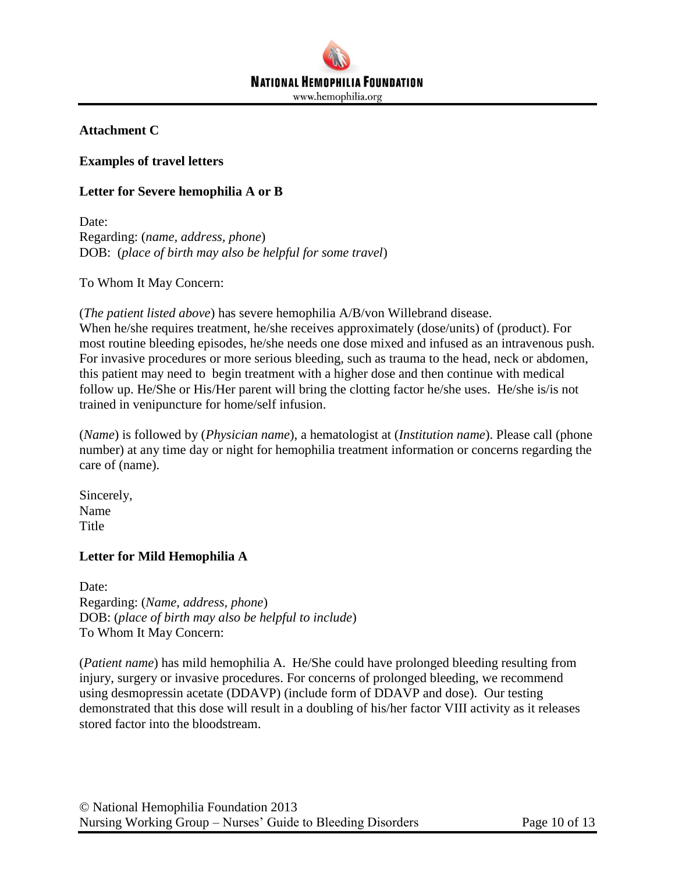

## **Attachment C**

### **Examples of travel letters**

## **Letter for Severe hemophilia A or B**

Date: Regarding: (*name, address, phone*) DOB: (*place of birth may also be helpful for some travel*)

To Whom It May Concern:

(*The patient listed above*) has severe hemophilia A/B/von Willebrand disease.

When he/she requires treatment, he/she receives approximately (dose/units) of (product). For most routine bleeding episodes, he/she needs one dose mixed and infused as an intravenous push. For invasive procedures or more serious bleeding, such as trauma to the head, neck or abdomen, this patient may need to begin treatment with a higher dose and then continue with medical follow up. He/She or His/Her parent will bring the clotting factor he/she uses. He/she is/is not trained in venipuncture for home/self infusion.

(*Name*) is followed by (*Physician name*), a hematologist at (*Institution name*). Please call (phone number) at any time day or night for hemophilia treatment information or concerns regarding the care of (name).

Sincerely, Name Title

#### **Letter for Mild Hemophilia A**

Date: Regarding: (*Name, address, phone*) DOB: (*place of birth may also be helpful to include*) To Whom It May Concern:

(*Patient name*) has mild hemophilia A. He/She could have prolonged bleeding resulting from injury, surgery or invasive procedures. For concerns of prolonged bleeding, we recommend using desmopressin acetate (DDAVP) (include form of DDAVP and dose). Our testing demonstrated that this dose will result in a doubling of his/her factor VIII activity as it releases stored factor into the bloodstream.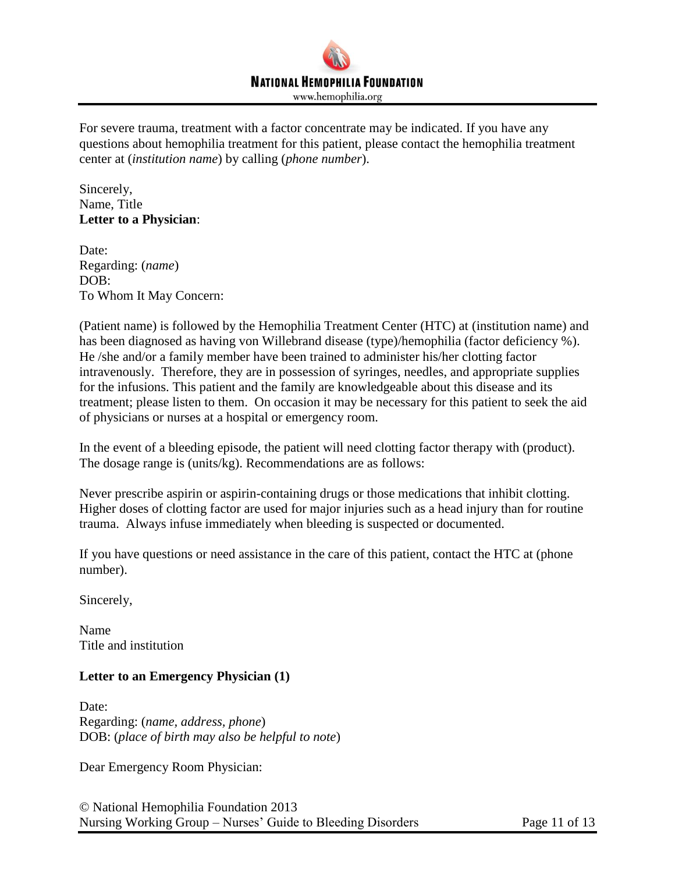

For severe trauma, treatment with a factor concentrate may be indicated. If you have any questions about hemophilia treatment for this patient, please contact the hemophilia treatment center at (*institution name*) by calling (*phone number*).

Sincerely, Name, Title **Letter to a Physician**:

Date: Regarding: (*name*) DOB: To Whom It May Concern:

(Patient name) is followed by the Hemophilia Treatment Center (HTC) at (institution name) and has been diagnosed as having von Willebrand disease (type)/hemophilia (factor deficiency %). He /she and/or a family member have been trained to administer his/her clotting factor intravenously. Therefore, they are in possession of syringes, needles, and appropriate supplies for the infusions. This patient and the family are knowledgeable about this disease and its treatment; please listen to them. On occasion it may be necessary for this patient to seek the aid of physicians or nurses at a hospital or emergency room.

In the event of a bleeding episode, the patient will need clotting factor therapy with (product). The dosage range is (units/kg). Recommendations are as follows:

Never prescribe aspirin or aspirin-containing drugs or those medications that inhibit clotting. Higher doses of clotting factor are used for major injuries such as a head injury than for routine trauma. Always infuse immediately when bleeding is suspected or documented.

If you have questions or need assistance in the care of this patient, contact the HTC at (phone number).

Sincerely,

Name Title and institution

#### **Letter to an Emergency Physician (1)**

Date: Regarding: (*name, address, phone*) DOB: (*place of birth may also be helpful to note*)

Dear Emergency Room Physician:

© National Hemophilia Foundation 2013 Nursing Working Group – Nurses' Guide to Bleeding Disorders Page 11 of 13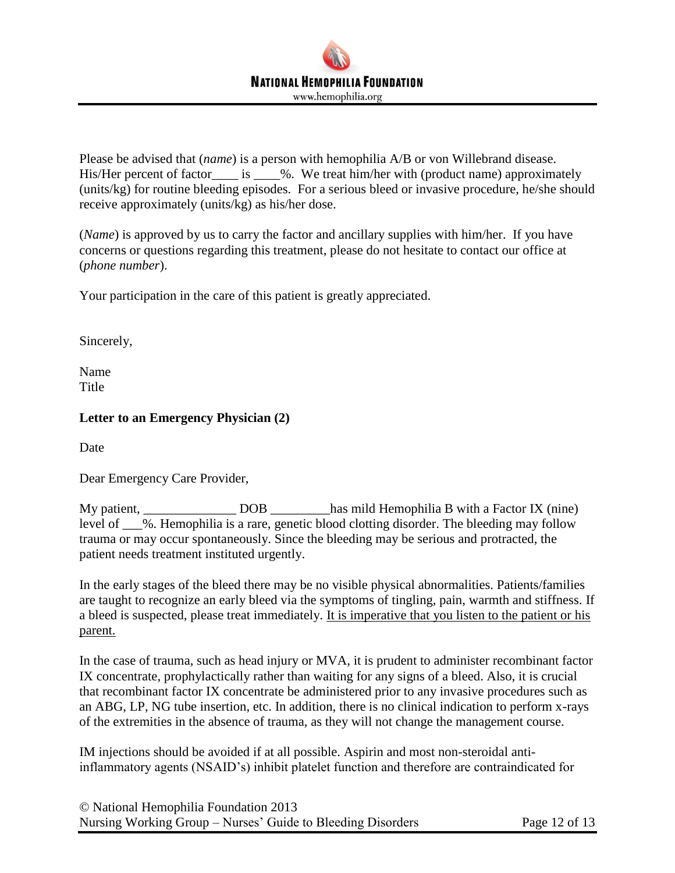Please be advised that (*name*) is a person with hemophilia A/B or von Willebrand disease. His/Her percent of factor\_\_\_\_ is \_\_\_\_%. We treat him/her with (product name) approximately (units/kg) for routine bleeding episodes. For a serious bleed or invasive procedure, he/she should receive approximately (units/kg) as his/her dose.

(*Name*) is approved by us to carry the factor and ancillary supplies with him/her. If you have concerns or questions regarding this treatment, please do not hesitate to contact our office at (*phone number*).

Your participation in the care of this patient is greatly appreciated.

Sincerely,

Name **Title** 

# **Letter to an Emergency Physician (2)**

Date

Dear Emergency Care Provider,

My patient, \_\_\_\_\_\_\_\_\_\_\_\_\_\_ DOB \_\_\_\_\_\_\_\_\_has mild Hemophilia B with a Factor IX (nine) level of %. Hemophilia is a rare, genetic blood clotting disorder. The bleeding may follow trauma or may occur spontaneously. Since the bleeding may be serious and protracted, the patient needs treatment instituted urgently.

In the early stages of the bleed there may be no visible physical abnormalities. Patients/families are taught to recognize an early bleed via the symptoms of tingling, pain, warmth and stiffness. If a bleed is suspected, please treat immediately. It is imperative that you listen to the patient or his parent.

In the case of trauma, such as head injury or MVA, it is prudent to administer recombinant factor IX concentrate, prophylactically rather than waiting for any signs of a bleed. Also, it is crucial that recombinant factor IX concentrate be administered prior to any invasive procedures such as an ABG, LP, NG tube insertion, etc. In addition, there is no clinical indication to perform x-rays of the extremities in the absence of trauma, as they will not change the management course.

IM injections should be avoided if at all possible. Aspirin and most non-steroidal antiinflammatory agents (NSAID's) inhibit platelet function and therefore are contraindicated for